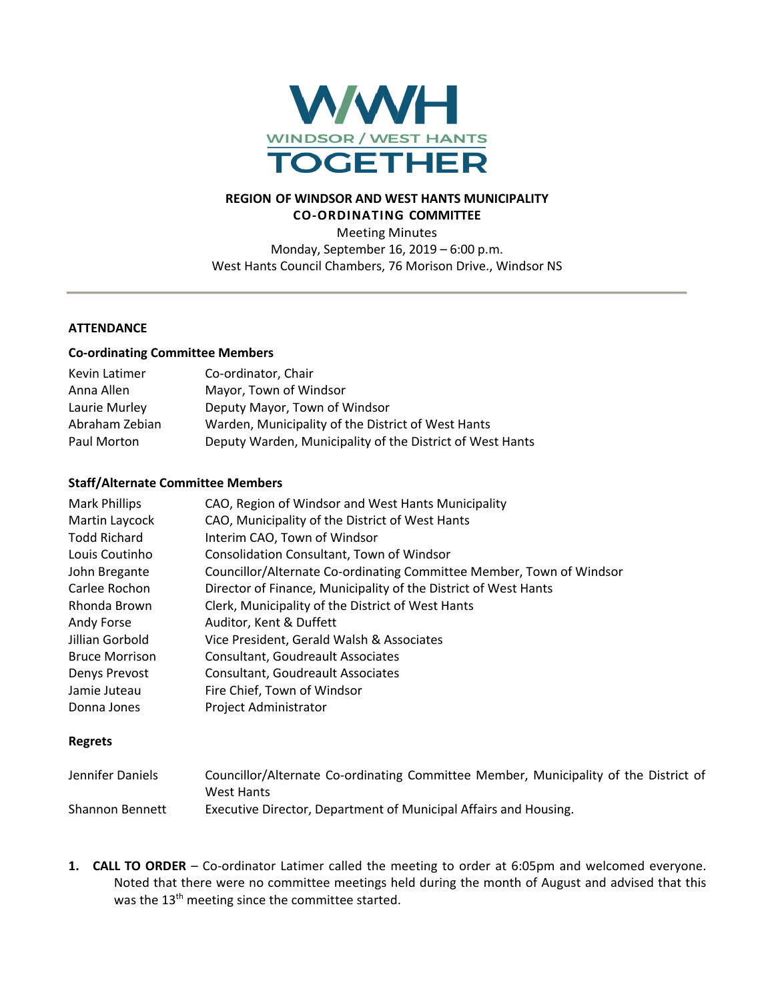

### **REGION OF WINDSOR AND WEST HANTS MUNICIPALITY CO-ORDINATING COMMITTEE**

Meeting Minutes Monday, September 16, 2019 – 6:00 p.m. West Hants Council Chambers, 76 Morison Drive., Windsor NS

#### **ATTENDANCE**

#### **Co-ordinating Committee Members**

| Kevin Latimer  | Co-ordinator, Chair                                       |
|----------------|-----------------------------------------------------------|
| Anna Allen     | Mayor, Town of Windsor                                    |
| Laurie Murley  | Deputy Mayor, Town of Windsor                             |
| Abraham Zebian | Warden, Municipality of the District of West Hants        |
| Paul Morton    | Deputy Warden, Municipality of the District of West Hants |

#### **Staff/Alternate Committee Members**

| Mark Phillips         | CAO, Region of Windsor and West Hants Municipality                   |
|-----------------------|----------------------------------------------------------------------|
| Martin Laycock        | CAO, Municipality of the District of West Hants                      |
| <b>Todd Richard</b>   | Interim CAO, Town of Windsor                                         |
| Louis Coutinho        | <b>Consolidation Consultant, Town of Windsor</b>                     |
| John Bregante         | Councillor/Alternate Co-ordinating Committee Member, Town of Windsor |
| Carlee Rochon         | Director of Finance, Municipality of the District of West Hants      |
| Rhonda Brown          | Clerk, Municipality of the District of West Hants                    |
| Andy Forse            | Auditor, Kent & Duffett                                              |
| Jillian Gorbold       | Vice President, Gerald Walsh & Associates                            |
| <b>Bruce Morrison</b> | Consultant, Goudreault Associates                                    |
| Denys Prevost         | Consultant, Goudreault Associates                                    |
| Jamie Juteau          | Fire Chief, Town of Windsor                                          |
| Donna Jones           | <b>Project Administrator</b>                                         |

#### **Regrets**

| Jennifer Daniels       | Councillor/Alternate Co-ordinating Committee Member, Municipality of the District of |
|------------------------|--------------------------------------------------------------------------------------|
|                        | West Hants                                                                           |
| <b>Shannon Bennett</b> | Executive Director, Department of Municipal Affairs and Housing.                     |

**1. CALL TO ORDER** – Co-ordinator Latimer called the meeting to order at 6:05pm and welcomed everyone. Noted that there were no committee meetings held during the month of August and advised that this was the 13<sup>th</sup> meeting since the committee started.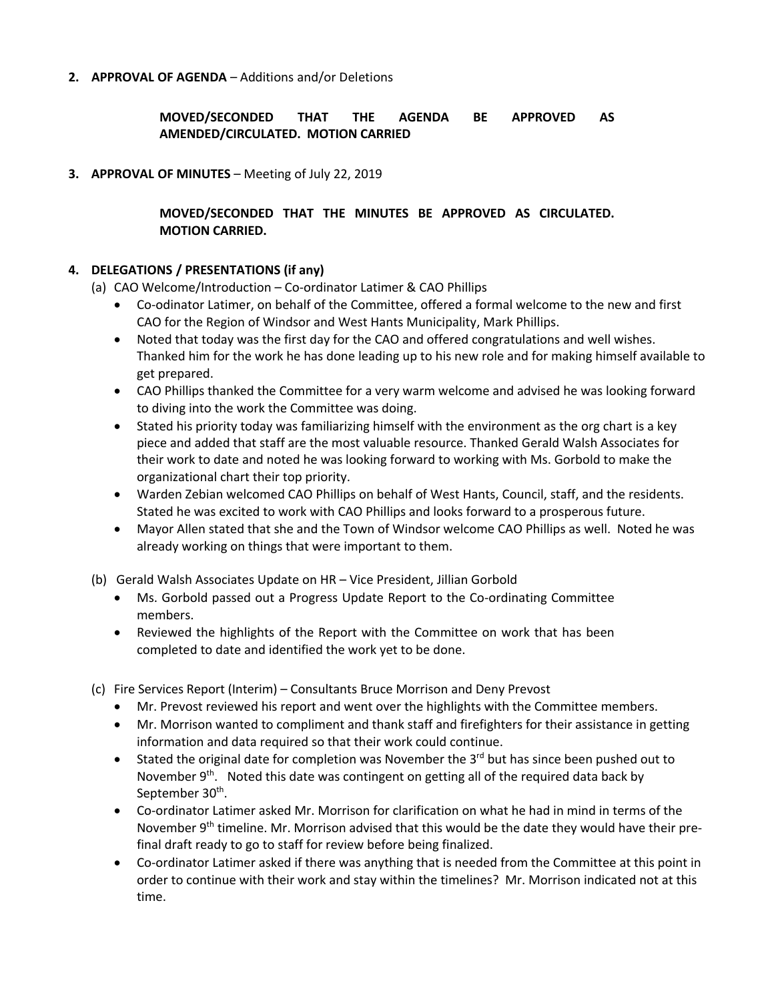**2. APPROVAL OF AGENDA** – Additions and/or Deletions

# **MOVED/SECONDED THAT THE AGENDA BE APPROVED AS AMENDED/CIRCULATED. MOTION CARRIED**

**3. APPROVAL OF MINUTES** – Meeting of July 22, 2019

### **MOVED/SECONDED THAT THE MINUTES BE APPROVED AS CIRCULATED. MOTION CARRIED.**

#### **4. DELEGATIONS / PRESENTATIONS (if any)**

(a) CAO Welcome/Introduction – Co-ordinator Latimer & CAO Phillips

- Co-odinator Latimer, on behalf of the Committee, offered a formal welcome to the new and first CAO for the Region of Windsor and West Hants Municipality, Mark Phillips.
- Noted that today was the first day for the CAO and offered congratulations and well wishes. Thanked him for the work he has done leading up to his new role and for making himself available to get prepared.
- CAO Phillips thanked the Committee for a very warm welcome and advised he was looking forward to diving into the work the Committee was doing.
- Stated his priority today was familiarizing himself with the environment as the org chart is a key piece and added that staff are the most valuable resource. Thanked Gerald Walsh Associates for their work to date and noted he was looking forward to working with Ms. Gorbold to make the organizational chart their top priority.
- Warden Zebian welcomed CAO Phillips on behalf of West Hants, Council, staff, and the residents. Stated he was excited to work with CAO Phillips and looks forward to a prosperous future.
- Mayor Allen stated that she and the Town of Windsor welcome CAO Phillips as well. Noted he was already working on things that were important to them.
- (b) Gerald Walsh Associates Update on HR Vice President, Jillian Gorbold
	- Ms. Gorbold passed out a Progress Update Report to the Co-ordinating Committee members.
	- Reviewed the highlights of the Report with the Committee on work that has been completed to date and identified the work yet to be done.
- (c) Fire Services Report (Interim) Consultants Bruce Morrison and Deny Prevost
	- Mr. Prevost reviewed his report and went over the highlights with the Committee members.
	- Mr. Morrison wanted to compliment and thank staff and firefighters for their assistance in getting information and data required so that their work could continue.
	- Stated the original date for completion was November the  $3<sup>rd</sup>$  but has since been pushed out to November  $9<sup>th</sup>$ . Noted this date was contingent on getting all of the required data back by September 30<sup>th</sup>.
	- Co-ordinator Latimer asked Mr. Morrison for clarification on what he had in mind in terms of the November  $9<sup>th</sup>$  timeline. Mr. Morrison advised that this would be the date they would have their prefinal draft ready to go to staff for review before being finalized.
	- Co-ordinator Latimer asked if there was anything that is needed from the Committee at this point in order to continue with their work and stay within the timelines? Mr. Morrison indicated not at this time.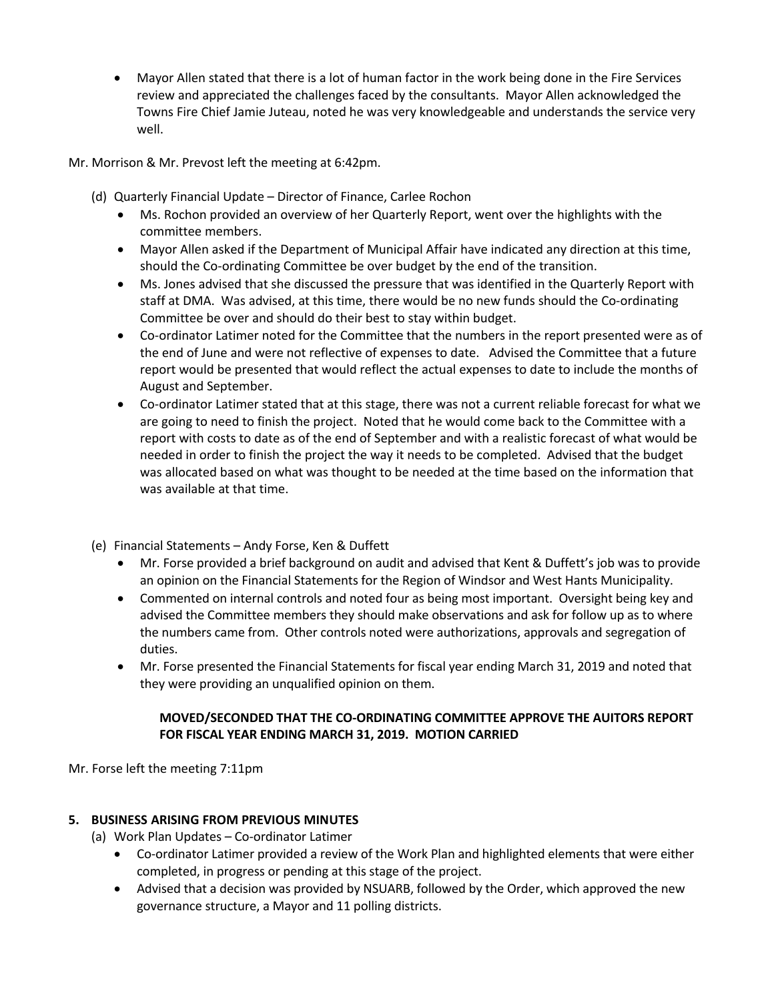• Mayor Allen stated that there is a lot of human factor in the work being done in the Fire Services review and appreciated the challenges faced by the consultants. Mayor Allen acknowledged the Towns Fire Chief Jamie Juteau, noted he was very knowledgeable and understands the service very well.

Mr. Morrison & Mr. Prevost left the meeting at 6:42pm.

- (d) Quarterly Financial Update Director of Finance, Carlee Rochon
	- Ms. Rochon provided an overview of her Quarterly Report, went over the highlights with the committee members.
	- Mayor Allen asked if the Department of Municipal Affair have indicated any direction at this time, should the Co-ordinating Committee be over budget by the end of the transition.
	- Ms. Jones advised that she discussed the pressure that was identified in the Quarterly Report with staff at DMA. Was advised, at this time, there would be no new funds should the Co-ordinating Committee be over and should do their best to stay within budget.
	- Co-ordinator Latimer noted for the Committee that the numbers in the report presented were as of the end of June and were not reflective of expenses to date. Advised the Committee that a future report would be presented that would reflect the actual expenses to date to include the months of August and September.
	- Co-ordinator Latimer stated that at this stage, there was not a current reliable forecast for what we are going to need to finish the project. Noted that he would come back to the Committee with a report with costs to date as of the end of September and with a realistic forecast of what would be needed in order to finish the project the way it needs to be completed. Advised that the budget was allocated based on what was thought to be needed at the time based on the information that was available at that time.
- (e) Financial Statements Andy Forse, Ken & Duffett
	- Mr. Forse provided a brief background on audit and advised that Kent & Duffett's job was to provide an opinion on the Financial Statements for the Region of Windsor and West Hants Municipality.
	- Commented on internal controls and noted four as being most important. Oversight being key and advised the Committee members they should make observations and ask for follow up as to where the numbers came from. Other controls noted were authorizations, approvals and segregation of duties.
	- Mr. Forse presented the Financial Statements for fiscal year ending March 31, 2019 and noted that they were providing an unqualified opinion on them.

### **MOVED/SECONDED THAT THE CO-ORDINATING COMMITTEE APPROVE THE AUITORS REPORT FOR FISCAL YEAR ENDING MARCH 31, 2019. MOTION CARRIED**

Mr. Forse left the meeting 7:11pm

### **5. BUSINESS ARISING FROM PREVIOUS MINUTES**

- (a) Work Plan Updates Co-ordinator Latimer
	- Co-ordinator Latimer provided a review of the Work Plan and highlighted elements that were either completed, in progress or pending at this stage of the project.
	- Advised that a decision was provided by NSUARB, followed by the Order, which approved the new governance structure, a Mayor and 11 polling districts.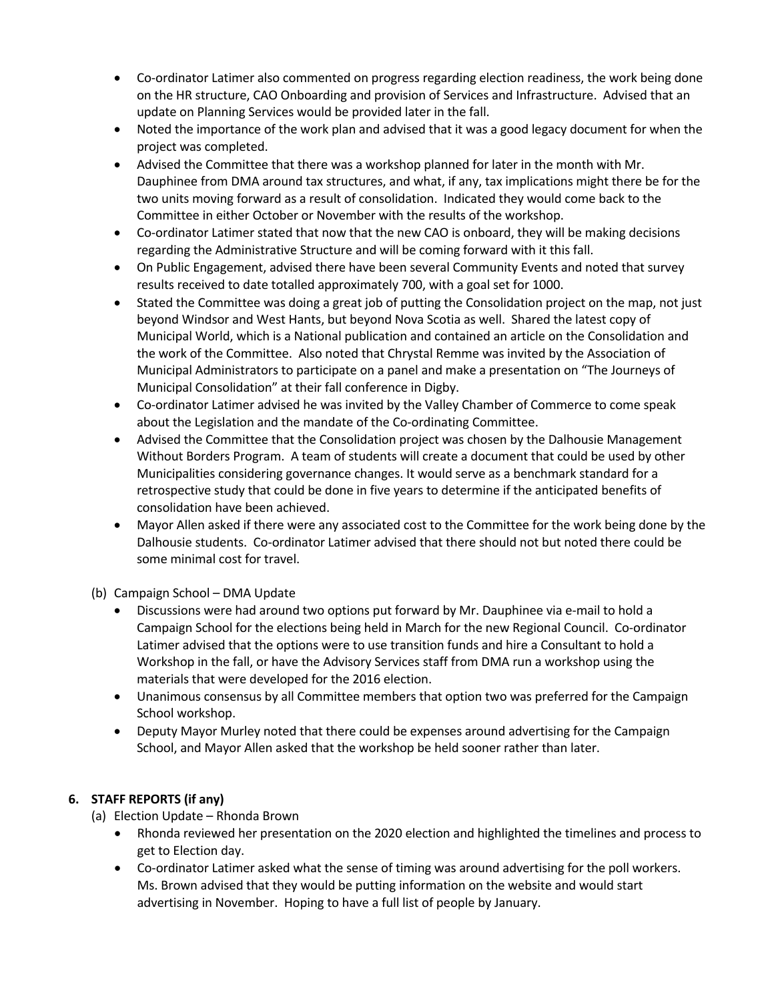- Co-ordinator Latimer also commented on progress regarding election readiness, the work being done on the HR structure, CAO Onboarding and provision of Services and Infrastructure. Advised that an update on Planning Services would be provided later in the fall.
- Noted the importance of the work plan and advised that it was a good legacy document for when the project was completed.
- Advised the Committee that there was a workshop planned for later in the month with Mr. Dauphinee from DMA around tax structures, and what, if any, tax implications might there be for the two units moving forward as a result of consolidation. Indicated they would come back to the Committee in either October or November with the results of the workshop.
- Co-ordinator Latimer stated that now that the new CAO is onboard, they will be making decisions regarding the Administrative Structure and will be coming forward with it this fall.
- On Public Engagement, advised there have been several Community Events and noted that survey results received to date totalled approximately 700, with a goal set for 1000.
- Stated the Committee was doing a great job of putting the Consolidation project on the map, not just beyond Windsor and West Hants, but beyond Nova Scotia as well. Shared the latest copy of Municipal World, which is a National publication and contained an article on the Consolidation and the work of the Committee. Also noted that Chrystal Remme was invited by the Association of Municipal Administrators to participate on a panel and make a presentation on "The Journeys of Municipal Consolidation" at their fall conference in Digby.
- Co-ordinator Latimer advised he was invited by the Valley Chamber of Commerce to come speak about the Legislation and the mandate of the Co-ordinating Committee.
- Advised the Committee that the Consolidation project was chosen by the Dalhousie Management Without Borders Program. A team of students will create a document that could be used by other Municipalities considering governance changes. It would serve as a benchmark standard for a retrospective study that could be done in five years to determine if the anticipated benefits of consolidation have been achieved.
- Mayor Allen asked if there were any associated cost to the Committee for the work being done by the Dalhousie students. Co-ordinator Latimer advised that there should not but noted there could be some minimal cost for travel.

(b) Campaign School – DMA Update

- Discussions were had around two options put forward by Mr. Dauphinee via e-mail to hold a Campaign School for the elections being held in March for the new Regional Council. Co-ordinator Latimer advised that the options were to use transition funds and hire a Consultant to hold a Workshop in the fall, or have the Advisory Services staff from DMA run a workshop using the materials that were developed for the 2016 election.
- Unanimous consensus by all Committee members that option two was preferred for the Campaign School workshop.
- Deputy Mayor Murley noted that there could be expenses around advertising for the Campaign School, and Mayor Allen asked that the workshop be held sooner rather than later.

# **6. STAFF REPORTS (if any)**

- (a) Election Update Rhonda Brown
	- Rhonda reviewed her presentation on the 2020 election and highlighted the timelines and process to get to Election day.
	- Co-ordinator Latimer asked what the sense of timing was around advertising for the poll workers. Ms. Brown advised that they would be putting information on the website and would start advertising in November. Hoping to have a full list of people by January.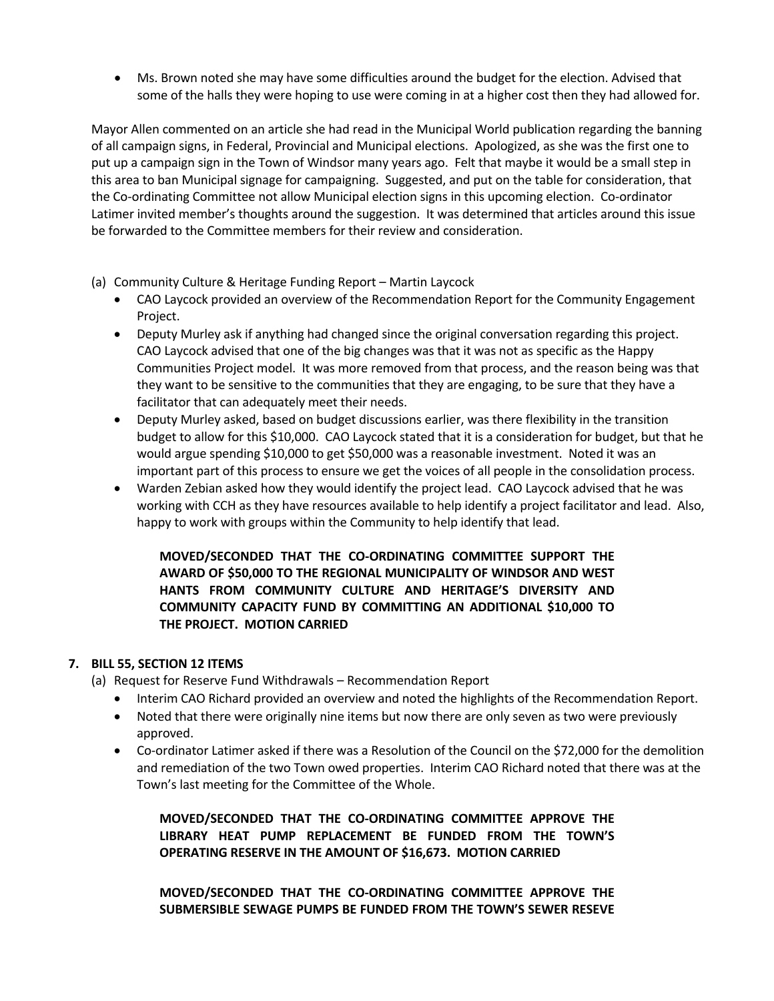• Ms. Brown noted she may have some difficulties around the budget for the election. Advised that some of the halls they were hoping to use were coming in at a higher cost then they had allowed for.

Mayor Allen commented on an article she had read in the Municipal World publication regarding the banning of all campaign signs, in Federal, Provincial and Municipal elections. Apologized, as she was the first one to put up a campaign sign in the Town of Windsor many years ago. Felt that maybe it would be a small step in this area to ban Municipal signage for campaigning. Suggested, and put on the table for consideration, that the Co-ordinating Committee not allow Municipal election signs in this upcoming election. Co-ordinator Latimer invited member's thoughts around the suggestion. It was determined that articles around this issue be forwarded to the Committee members for their review and consideration.

- (a) Community Culture & Heritage Funding Report Martin Laycock
	- CAO Laycock provided an overview of the Recommendation Report for the Community Engagement Project.
	- Deputy Murley ask if anything had changed since the original conversation regarding this project. CAO Laycock advised that one of the big changes was that it was not as specific as the Happy Communities Project model. It was more removed from that process, and the reason being was that they want to be sensitive to the communities that they are engaging, to be sure that they have a facilitator that can adequately meet their needs.
	- Deputy Murley asked, based on budget discussions earlier, was there flexibility in the transition budget to allow for this \$10,000. CAO Laycock stated that it is a consideration for budget, but that he would argue spending \$10,000 to get \$50,000 was a reasonable investment. Noted it was an important part of this process to ensure we get the voices of all people in the consolidation process.
	- Warden Zebian asked how they would identify the project lead. CAO Laycock advised that he was working with CCH as they have resources available to help identify a project facilitator and lead. Also, happy to work with groups within the Community to help identify that lead.

### **MOVED/SECONDED THAT THE CO-ORDINATING COMMITTEE SUPPORT THE AWARD OF \$50,000 TO THE REGIONAL MUNICIPALITY OF WINDSOR AND WEST HANTS FROM COMMUNITY CULTURE AND HERITAGE'S DIVERSITY AND COMMUNITY CAPACITY FUND BY COMMITTING AN ADDITIONAL \$10,000 TO THE PROJECT. MOTION CARRIED**

### **7. BILL 55, SECTION 12 ITEMS**

- (a) Request for Reserve Fund Withdrawals Recommendation Report
	- Interim CAO Richard provided an overview and noted the highlights of the Recommendation Report.
	- Noted that there were originally nine items but now there are only seven as two were previously approved.
	- Co-ordinator Latimer asked if there was a Resolution of the Council on the \$72,000 for the demolition and remediation of the two Town owed properties. Interim CAO Richard noted that there was at the Town's last meeting for the Committee of the Whole.

**MOVED/SECONDED THAT THE CO-ORDINATING COMMITTEE APPROVE THE LIBRARY HEAT PUMP REPLACEMENT BE FUNDED FROM THE TOWN'S OPERATING RESERVE IN THE AMOUNT OF \$16,673. MOTION CARRIED**

**MOVED/SECONDED THAT THE CO-ORDINATING COMMITTEE APPROVE THE SUBMERSIBLE SEWAGE PUMPS BE FUNDED FROM THE TOWN'S SEWER RESEVE**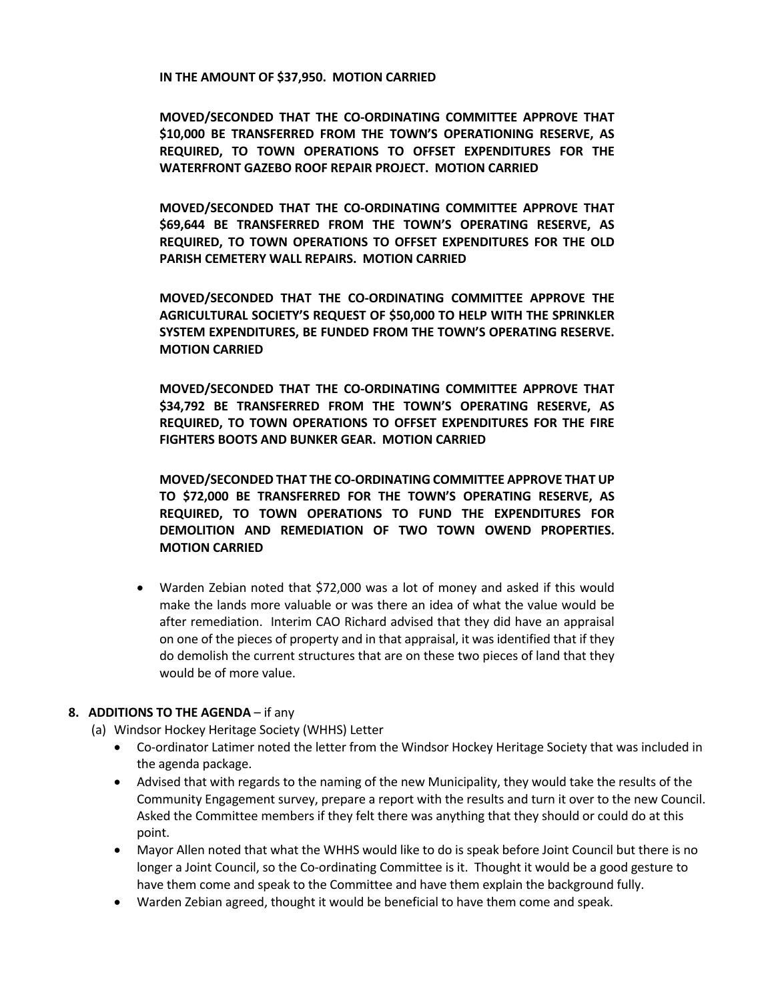**IN THE AMOUNT OF \$37,950. MOTION CARRIED**

**MOVED/SECONDED THAT THE CO-ORDINATING COMMITTEE APPROVE THAT \$10,000 BE TRANSFERRED FROM THE TOWN'S OPERATIONING RESERVE, AS REQUIRED, TO TOWN OPERATIONS TO OFFSET EXPENDITURES FOR THE WATERFRONT GAZEBO ROOF REPAIR PROJECT. MOTION CARRIED**

**MOVED/SECONDED THAT THE CO-ORDINATING COMMITTEE APPROVE THAT \$69,644 BE TRANSFERRED FROM THE TOWN'S OPERATING RESERVE, AS REQUIRED, TO TOWN OPERATIONS TO OFFSET EXPENDITURES FOR THE OLD PARISH CEMETERY WALL REPAIRS. MOTION CARRIED**

**MOVED/SECONDED THAT THE CO-ORDINATING COMMITTEE APPROVE THE AGRICULTURAL SOCIETY'S REQUEST OF \$50,000 TO HELP WITH THE SPRINKLER SYSTEM EXPENDITURES, BE FUNDED FROM THE TOWN'S OPERATING RESERVE. MOTION CARRIED**

**MOVED/SECONDED THAT THE CO-ORDINATING COMMITTEE APPROVE THAT \$34,792 BE TRANSFERRED FROM THE TOWN'S OPERATING RESERVE, AS REQUIRED, TO TOWN OPERATIONS TO OFFSET EXPENDITURES FOR THE FIRE FIGHTERS BOOTS AND BUNKER GEAR. MOTION CARRIED**

**MOVED/SECONDED THAT THE CO-ORDINATING COMMITTEE APPROVE THAT UP TO \$72,000 BE TRANSFERRED FOR THE TOWN'S OPERATING RESERVE, AS REQUIRED, TO TOWN OPERATIONS TO FUND THE EXPENDITURES FOR DEMOLITION AND REMEDIATION OF TWO TOWN OWEND PROPERTIES. MOTION CARRIED**

• Warden Zebian noted that \$72,000 was a lot of money and asked if this would make the lands more valuable or was there an idea of what the value would be after remediation. Interim CAO Richard advised that they did have an appraisal on one of the pieces of property and in that appraisal, it was identified that if they do demolish the current structures that are on these two pieces of land that they would be of more value.

#### **8. ADDITIONS TO THE AGENDA** – if any

- (a) Windsor Hockey Heritage Society (WHHS) Letter
	- Co-ordinator Latimer noted the letter from the Windsor Hockey Heritage Society that was included in the agenda package.
	- Advised that with regards to the naming of the new Municipality, they would take the results of the Community Engagement survey, prepare a report with the results and turn it over to the new Council. Asked the Committee members if they felt there was anything that they should or could do at this point.
	- Mayor Allen noted that what the WHHS would like to do is speak before Joint Council but there is no longer a Joint Council, so the Co-ordinating Committee is it. Thought it would be a good gesture to have them come and speak to the Committee and have them explain the background fully.
	- Warden Zebian agreed, thought it would be beneficial to have them come and speak.